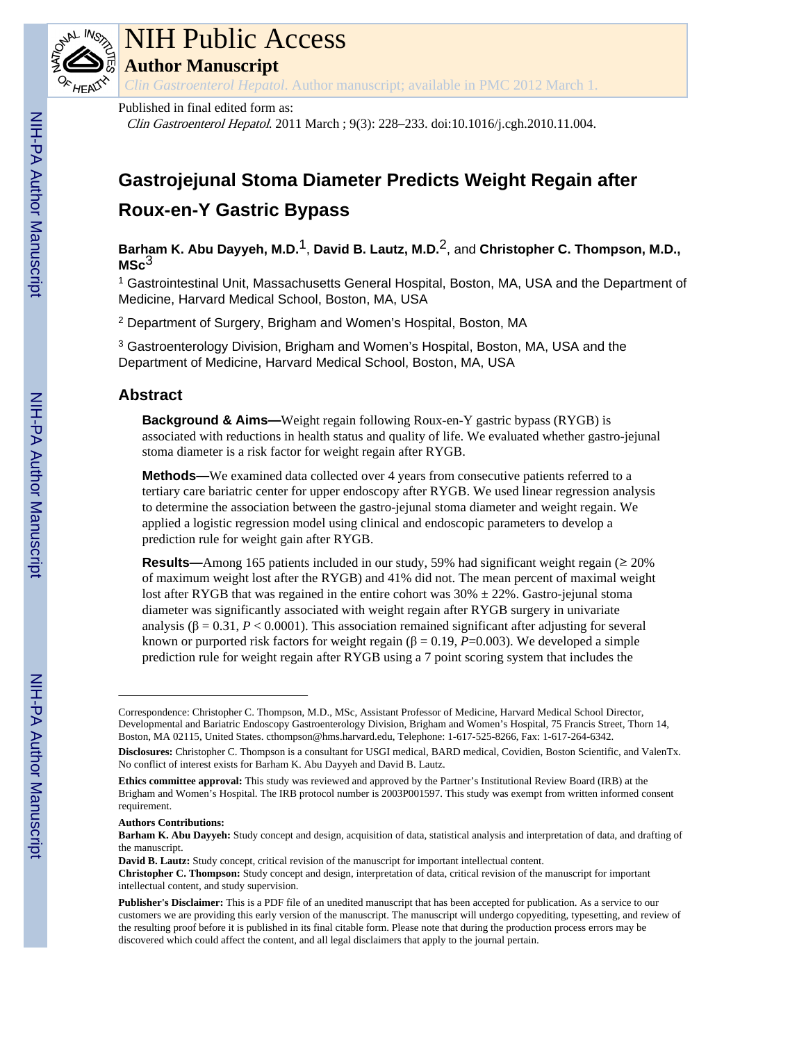

# NIH Public Access

**Author Manuscript**

*Clin Gastroenterol Hepatol*. Author manuscript; available in PMC 2012 March 1.

### Published in final edited form as:

Clin Gastroenterol Hepatol. 2011 March ; 9(3): 228–233. doi:10.1016/j.cgh.2010.11.004.

## **Gastrojejunal Stoma Diameter Predicts Weight Regain after Roux-en-Y Gastric Bypass**

**Barham K. Abu Dayyeh, M.D.**1, **David B. Lautz, M.D.**2, and **Christopher C. Thompson, M.D., MSc**3

<sup>1</sup> Gastrointestinal Unit, Massachusetts General Hospital, Boston, MA, USA and the Department of Medicine, Harvard Medical School, Boston, MA, USA

2 Department of Surgery, Brigham and Women's Hospital, Boston, MA

<sup>3</sup> Gastroenterology Division, Brigham and Women's Hospital, Boston, MA, USA and the Department of Medicine, Harvard Medical School, Boston, MA, USA

## **Abstract**

**Background & Aims—**Weight regain following Roux-en-Y gastric bypass (RYGB) is associated with reductions in health status and quality of life. We evaluated whether gastro-jejunal stoma diameter is a risk factor for weight regain after RYGB.

**Methods—**We examined data collected over 4 years from consecutive patients referred to a tertiary care bariatric center for upper endoscopy after RYGB. We used linear regression analysis to determine the association between the gastro-jejunal stoma diameter and weight regain. We applied a logistic regression model using clinical and endoscopic parameters to develop a prediction rule for weight gain after RYGB.

**Results—**Among 165 patients included in our study, 59% had significant weight regain (≥ 20% of maximum weight lost after the RYGB) and 41% did not. The mean percent of maximal weight lost after RYGB that was regained in the entire cohort was  $30\% \pm 22\%$ . Gastro-jejunal stoma diameter was significantly associated with weight regain after RYGB surgery in univariate analysis ( $\beta = 0.31$ ,  $P < 0.0001$ ). This association remained significant after adjusting for several known or purported risk factors for weight regain  $(\beta = 0.19, P=0.003)$ . We developed a simple prediction rule for weight regain after RYGB using a 7 point scoring system that includes the

#### **Authors Contributions:**

Correspondence: Christopher C. Thompson, M.D., MSc, Assistant Professor of Medicine, Harvard Medical School Director, Developmental and Bariatric Endoscopy Gastroenterology Division, Brigham and Women's Hospital, 75 Francis Street, Thorn 14, Boston, MA 02115, United States. cthompson@hms.harvard.edu, Telephone: 1-617-525-8266, Fax: 1-617-264-6342.

**Disclosures:** Christopher C. Thompson is a consultant for USGI medical, BARD medical, Covidien, Boston Scientific, and ValenTx. No conflict of interest exists for Barham K. Abu Dayyeh and David B. Lautz.

**Ethics committee approval:** This study was reviewed and approved by the Partner's Institutional Review Board (IRB) at the Brigham and Women's Hospital. The IRB protocol number is 2003P001597. This study was exempt from written informed consent requirement.

**Barham K. Abu Dayyeh:** Study concept and design, acquisition of data, statistical analysis and interpretation of data, and drafting of the manuscript.

**David B. Lautz:** Study concept, critical revision of the manuscript for important intellectual content. **Christopher C. Thompson:** Study concept and design, interpretation of data, critical revision of the manuscript for important intellectual content, and study supervision.

**Publisher's Disclaimer:** This is a PDF file of an unedited manuscript that has been accepted for publication. As a service to our customers we are providing this early version of the manuscript. The manuscript will undergo copyediting, typesetting, and review of the resulting proof before it is published in its final citable form. Please note that during the production process errors may be discovered which could affect the content, and all legal disclaimers that apply to the journal pertain.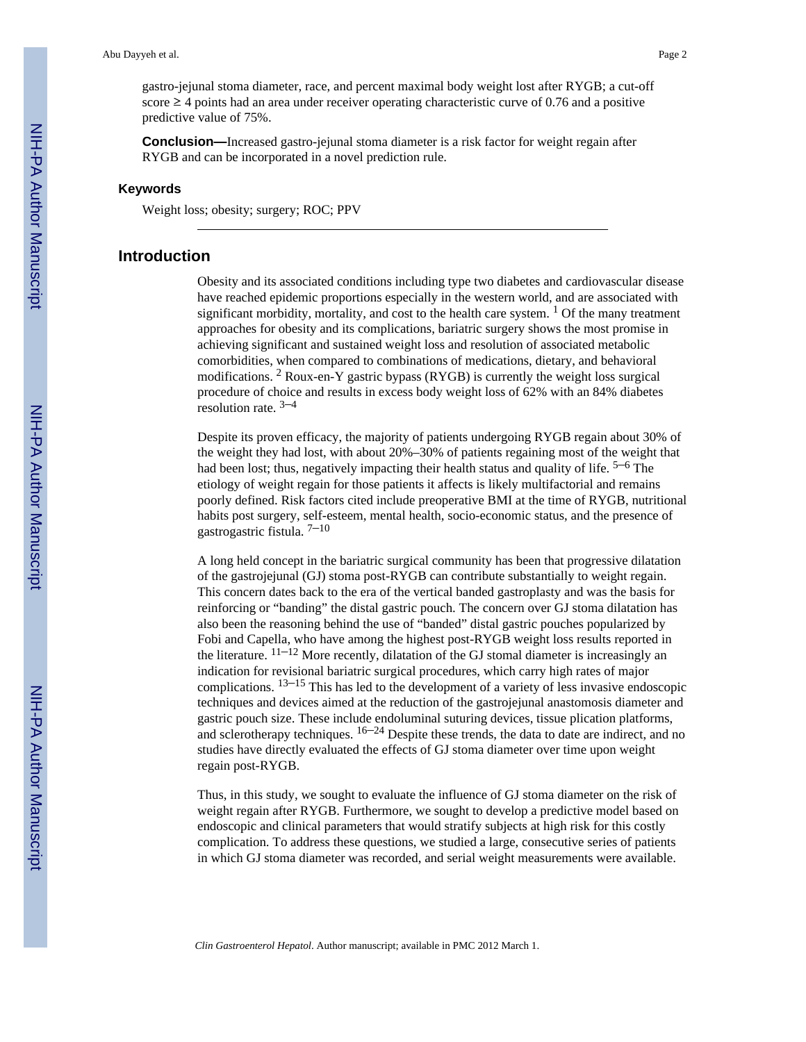gastro-jejunal stoma diameter, race, and percent maximal body weight lost after RYGB; a cut-off score  $\geq$  4 points had an area under receiver operating characteristic curve of 0.76 and a positive predictive value of 75%.

**Conclusion—**Increased gastro-jejunal stoma diameter is a risk factor for weight regain after RYGB and can be incorporated in a novel prediction rule.

#### **Keywords**

Weight loss; obesity; surgery; ROC; PPV

#### **Introduction**

Obesity and its associated conditions including type two diabetes and cardiovascular disease have reached epidemic proportions especially in the western world, and are associated with significant morbidity, mortality, and cost to the health care system.  $\frac{1}{1}$  Of the many treatment approaches for obesity and its complications, bariatric surgery shows the most promise in achieving significant and sustained weight loss and resolution of associated metabolic comorbidities, when compared to combinations of medications, dietary, and behavioral modifications. <sup>2</sup> Roux-en-Y gastric bypass (RYGB) is currently the weight loss surgical procedure of choice and results in excess body weight loss of 62% with an 84% diabetes resolution rate.  $3-4$ 

Despite its proven efficacy, the majority of patients undergoing RYGB regain about 30% of the weight they had lost, with about 20%–30% of patients regaining most of the weight that had been lost; thus, negatively impacting their health status and quality of life.  $5-6$  The etiology of weight regain for those patients it affects is likely multifactorial and remains poorly defined. Risk factors cited include preoperative BMI at the time of RYGB, nutritional habits post surgery, self-esteem, mental health, socio-economic status, and the presence of gastrogastric fistula.  $7-10$ 

A long held concept in the bariatric surgical community has been that progressive dilatation of the gastrojejunal (GJ) stoma post-RYGB can contribute substantially to weight regain. This concern dates back to the era of the vertical banded gastroplasty and was the basis for reinforcing or "banding" the distal gastric pouch. The concern over GJ stoma dilatation has also been the reasoning behind the use of "banded" distal gastric pouches popularized by Fobi and Capella, who have among the highest post-RYGB weight loss results reported in the literature.  $11-12$  More recently, dilatation of the GJ stomal diameter is increasingly an indication for revisional bariatric surgical procedures, which carry high rates of major complications.  $13-15$  This has led to the development of a variety of less invasive endoscopic techniques and devices aimed at the reduction of the gastrojejunal anastomosis diameter and gastric pouch size. These include endoluminal suturing devices, tissue plication platforms, and sclerotherapy techniques.  $16-24$  Despite these trends, the data to date are indirect, and no studies have directly evaluated the effects of GJ stoma diameter over time upon weight regain post-RYGB.

Thus, in this study, we sought to evaluate the influence of GJ stoma diameter on the risk of weight regain after RYGB. Furthermore, we sought to develop a predictive model based on endoscopic and clinical parameters that would stratify subjects at high risk for this costly complication. To address these questions, we studied a large, consecutive series of patients in which GJ stoma diameter was recorded, and serial weight measurements were available.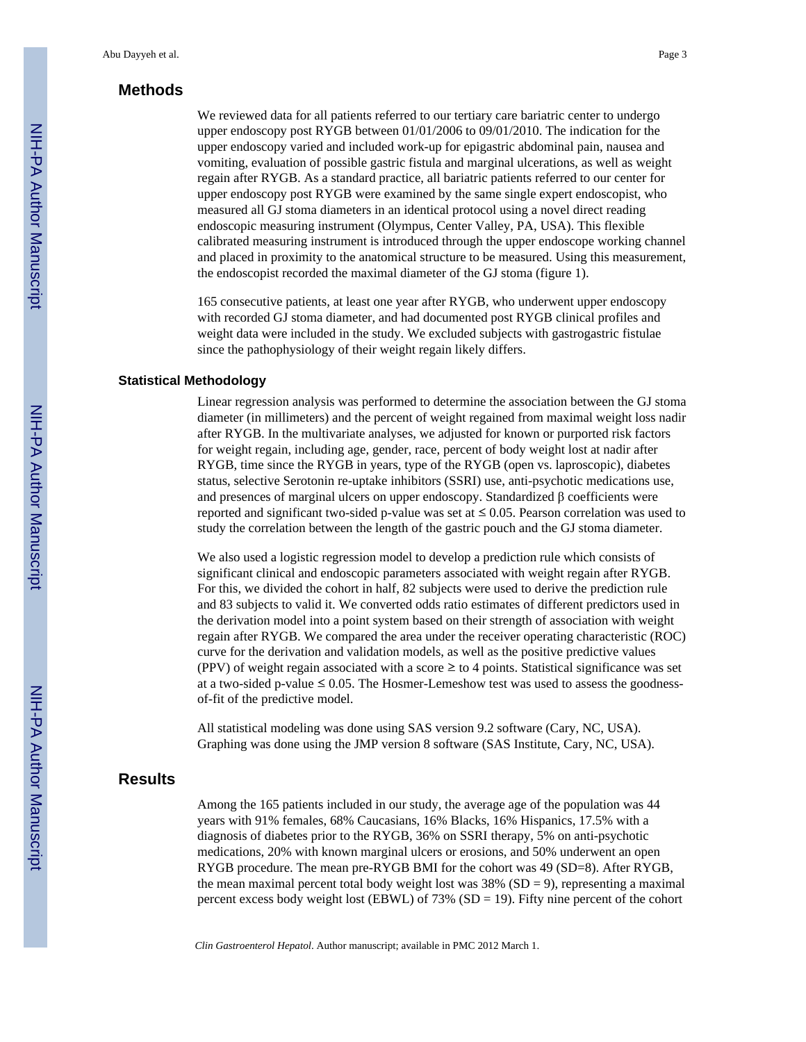## **Methods**

We reviewed data for all patients referred to our tertiary care bariatric center to undergo upper endoscopy post RYGB between 01/01/2006 to 09/01/2010. The indication for the upper endoscopy varied and included work-up for epigastric abdominal pain, nausea and vomiting, evaluation of possible gastric fistula and marginal ulcerations, as well as weight regain after RYGB. As a standard practice, all bariatric patients referred to our center for upper endoscopy post RYGB were examined by the same single expert endoscopist, who measured all GJ stoma diameters in an identical protocol using a novel direct reading endoscopic measuring instrument (Olympus, Center Valley, PA, USA). This flexible calibrated measuring instrument is introduced through the upper endoscope working channel and placed in proximity to the anatomical structure to be measured. Using this measurement, the endoscopist recorded the maximal diameter of the GJ stoma (figure 1).

165 consecutive patients, at least one year after RYGB, who underwent upper endoscopy with recorded GJ stoma diameter, and had documented post RYGB clinical profiles and weight data were included in the study. We excluded subjects with gastrogastric fistulae since the pathophysiology of their weight regain likely differs.

#### **Statistical Methodology**

Linear regression analysis was performed to determine the association between the GJ stoma diameter (in millimeters) and the percent of weight regained from maximal weight loss nadir after RYGB. In the multivariate analyses, we adjusted for known or purported risk factors for weight regain, including age, gender, race, percent of body weight lost at nadir after RYGB, time since the RYGB in years, type of the RYGB (open vs. laproscopic), diabetes status, selective Serotonin re-uptake inhibitors (SSRI) use, anti-psychotic medications use, and presences of marginal ulcers on upper endoscopy. Standardized β coefficients were reported and significant two-sided p-value was set at  $\leq$  0.05. Pearson correlation was used to study the correlation between the length of the gastric pouch and the GJ stoma diameter.

We also used a logistic regression model to develop a prediction rule which consists of significant clinical and endoscopic parameters associated with weight regain after RYGB. For this, we divided the cohort in half, 82 subjects were used to derive the prediction rule and 83 subjects to valid it. We converted odds ratio estimates of different predictors used in the derivation model into a point system based on their strength of association with weight regain after RYGB. We compared the area under the receiver operating characteristic (ROC) curve for the derivation and validation models, as well as the positive predictive values (PPV) of weight regain associated with a score  $\geq$  to 4 points. Statistical significance was set at a two-sided p-value  $\leq 0.05$ . The Hosmer-Lemeshow test was used to assess the goodnessof-fit of the predictive model.

All statistical modeling was done using SAS version 9.2 software (Cary, NC, USA). Graphing was done using the JMP version 8 software (SAS Institute, Cary, NC, USA).

## **Results**

Among the 165 patients included in our study, the average age of the population was 44 years with 91% females, 68% Caucasians, 16% Blacks, 16% Hispanics, 17.5% with a diagnosis of diabetes prior to the RYGB, 36% on SSRI therapy, 5% on anti-psychotic medications, 20% with known marginal ulcers or erosions, and 50% underwent an open RYGB procedure. The mean pre-RYGB BMI for the cohort was 49 (SD=8). After RYGB, the mean maximal percent total body weight lost was  $38\%$  (SD = 9), representing a maximal percent excess body weight lost (EBWL) of  $73\%$  (SD = 19). Fifty nine percent of the cohort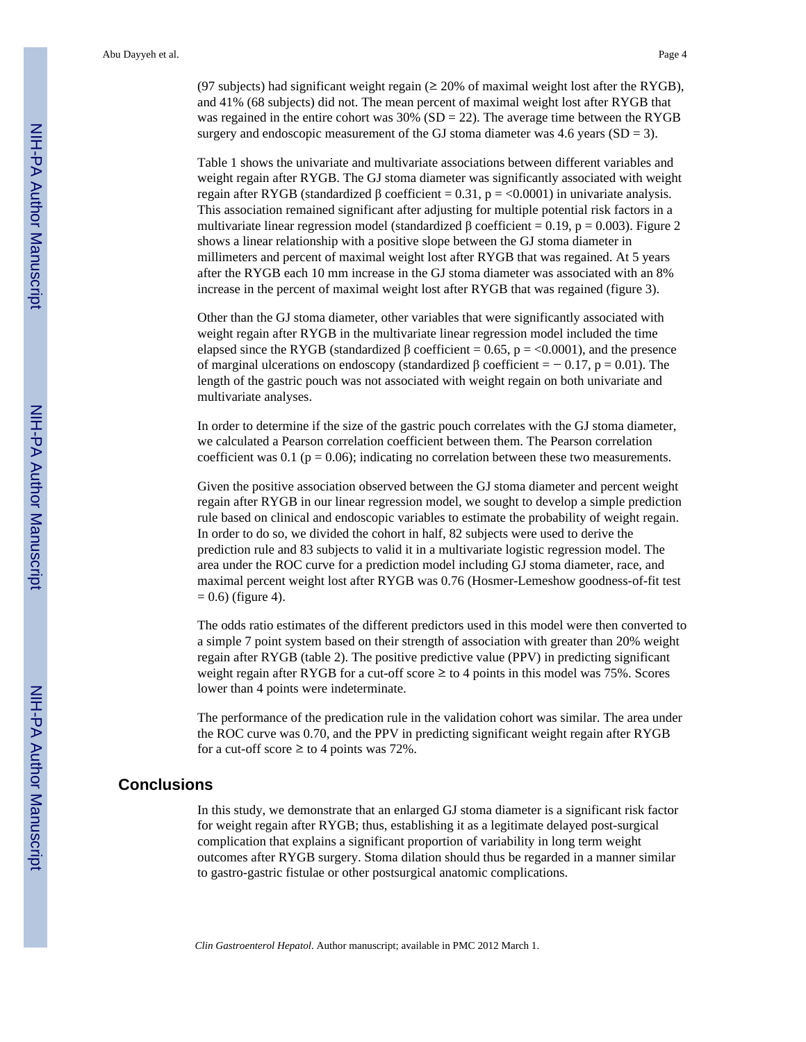(97 subjects) had significant weight regain ( $\geq$  20% of maximal weight lost after the RYGB), and 41% (68 subjects) did not. The mean percent of maximal weight lost after RYGB that was regained in the entire cohort was  $30\%$  (SD = 22). The average time between the RYGB surgery and endoscopic measurement of the GJ stoma diameter was 4.6 years ( $SD = 3$ ).

Table 1 shows the univariate and multivariate associations between different variables and weight regain after RYGB. The GJ stoma diameter was significantly associated with weight regain after RYGB (standardized β coefficient = 0.31, p = <0.0001) in univariate analysis. This association remained significant after adjusting for multiple potential risk factors in a multivariate linear regression model (standardized  $\beta$  coefficient = 0.19, p = 0.003). Figure 2 shows a linear relationship with a positive slope between the GJ stoma diameter in millimeters and percent of maximal weight lost after RYGB that was regained. At 5 years after the RYGB each 10 mm increase in the GJ stoma diameter was associated with an 8% increase in the percent of maximal weight lost after RYGB that was regained (figure 3).

Other than the GJ stoma diameter, other variables that were significantly associated with weight regain after RYGB in the multivariate linear regression model included the time elapsed since the RYGB (standardized  $\beta$  coefficient = 0.65, p = <0.0001), and the presence of marginal ulcerations on endoscopy (standardized  $\beta$  coefficient = − 0.17, p = 0.01). The length of the gastric pouch was not associated with weight regain on both univariate and multivariate analyses.

In order to determine if the size of the gastric pouch correlates with the GJ stoma diameter, we calculated a Pearson correlation coefficient between them. The Pearson correlation coefficient was 0.1 ( $p = 0.06$ ); indicating no correlation between these two measurements.

Given the positive association observed between the GJ stoma diameter and percent weight regain after RYGB in our linear regression model, we sought to develop a simple prediction rule based on clinical and endoscopic variables to estimate the probability of weight regain. In order to do so, we divided the cohort in half, 82 subjects were used to derive the prediction rule and 83 subjects to valid it in a multivariate logistic regression model. The area under the ROC curve for a prediction model including GJ stoma diameter, race, and maximal percent weight lost after RYGB was 0.76 (Hosmer-Lemeshow goodness-of-fit test  $= 0.6$ ) (figure 4).

The odds ratio estimates of the different predictors used in this model were then converted to a simple 7 point system based on their strength of association with greater than 20% weight regain after RYGB (table 2). The positive predictive value (PPV) in predicting significant weight regain after RYGB for a cut-off score  $\geq$  to 4 points in this model was 75%. Scores lower than 4 points were indeterminate.

The performance of the predication rule in the validation cohort was similar. The area under the ROC curve was 0.70, and the PPV in predicting significant weight regain after RYGB for a cut-off score  $\geq$  to 4 points was 72%.

#### **Conclusions**

In this study, we demonstrate that an enlarged GJ stoma diameter is a significant risk factor for weight regain after RYGB; thus, establishing it as a legitimate delayed post-surgical complication that explains a significant proportion of variability in long term weight outcomes after RYGB surgery. Stoma dilation should thus be regarded in a manner similar to gastro-gastric fistulae or other postsurgical anatomic complications.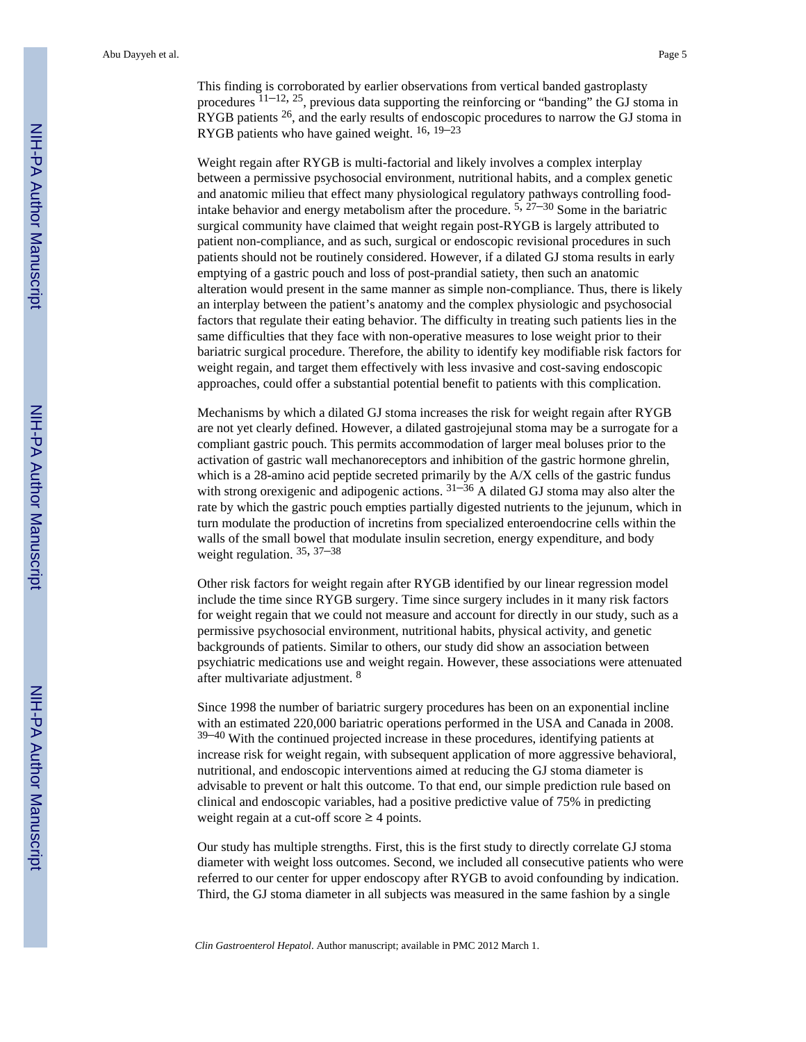This finding is corroborated by earlier observations from vertical banded gastroplasty procedures  $11-12$ ,  $25$ , previous data supporting the reinforcing or "banding" the GJ stoma in RYGB patients  $26$ , and the early results of endoscopic procedures to narrow the GJ stoma in RYGB patients who have gained weight. 16, 19–<sup>23</sup>

Weight regain after RYGB is multi-factorial and likely involves a complex interplay between a permissive psychosocial environment, nutritional habits, and a complex genetic and anatomic milieu that effect many physiological regulatory pathways controlling foodintake behavior and energy metabolism after the procedure.  $5, 27-30$  Some in the bariatric surgical community have claimed that weight regain post-RYGB is largely attributed to patient non-compliance, and as such, surgical or endoscopic revisional procedures in such patients should not be routinely considered. However, if a dilated GJ stoma results in early emptying of a gastric pouch and loss of post-prandial satiety, then such an anatomic alteration would present in the same manner as simple non-compliance. Thus, there is likely an interplay between the patient's anatomy and the complex physiologic and psychosocial factors that regulate their eating behavior. The difficulty in treating such patients lies in the same difficulties that they face with non-operative measures to lose weight prior to their bariatric surgical procedure. Therefore, the ability to identify key modifiable risk factors for weight regain, and target them effectively with less invasive and cost-saving endoscopic approaches, could offer a substantial potential benefit to patients with this complication.

Mechanisms by which a dilated GJ stoma increases the risk for weight regain after RYGB are not yet clearly defined. However, a dilated gastrojejunal stoma may be a surrogate for a compliant gastric pouch. This permits accommodation of larger meal boluses prior to the activation of gastric wall mechanoreceptors and inhibition of the gastric hormone ghrelin, which is a 28-amino acid peptide secreted primarily by the A/X cells of the gastric fundus with strong or<br>exigenic and adipogenic actions.  $31-36$  A dilated GJ stoma may also alter the rate by which the gastric pouch empties partially digested nutrients to the jejunum, which in turn modulate the production of incretins from specialized enteroendocrine cells within the walls of the small bowel that modulate insulin secretion, energy expenditure, and body weight regulation. 35, 37–<sup>38</sup>

Other risk factors for weight regain after RYGB identified by our linear regression model include the time since RYGB surgery. Time since surgery includes in it many risk factors for weight regain that we could not measure and account for directly in our study, such as a permissive psychosocial environment, nutritional habits, physical activity, and genetic backgrounds of patients. Similar to others, our study did show an association between psychiatric medications use and weight regain. However, these associations were attenuated after multivariate adjustment. <sup>8</sup>

Since 1998 the number of bariatric surgery procedures has been on an exponential incline with an estimated 220,000 bariatric operations performed in the USA and Canada in 2008.  $39-40$  With the continued projected increase in these procedures, identifying patients at increase risk for weight regain, with subsequent application of more aggressive behavioral, nutritional, and endoscopic interventions aimed at reducing the GJ stoma diameter is advisable to prevent or halt this outcome. To that end, our simple prediction rule based on clinical and endoscopic variables, had a positive predictive value of 75% in predicting weight regain at a cut-off score  $\geq$  4 points.

Our study has multiple strengths. First, this is the first study to directly correlate GJ stoma diameter with weight loss outcomes. Second, we included all consecutive patients who were referred to our center for upper endoscopy after RYGB to avoid confounding by indication. Third, the GJ stoma diameter in all subjects was measured in the same fashion by a single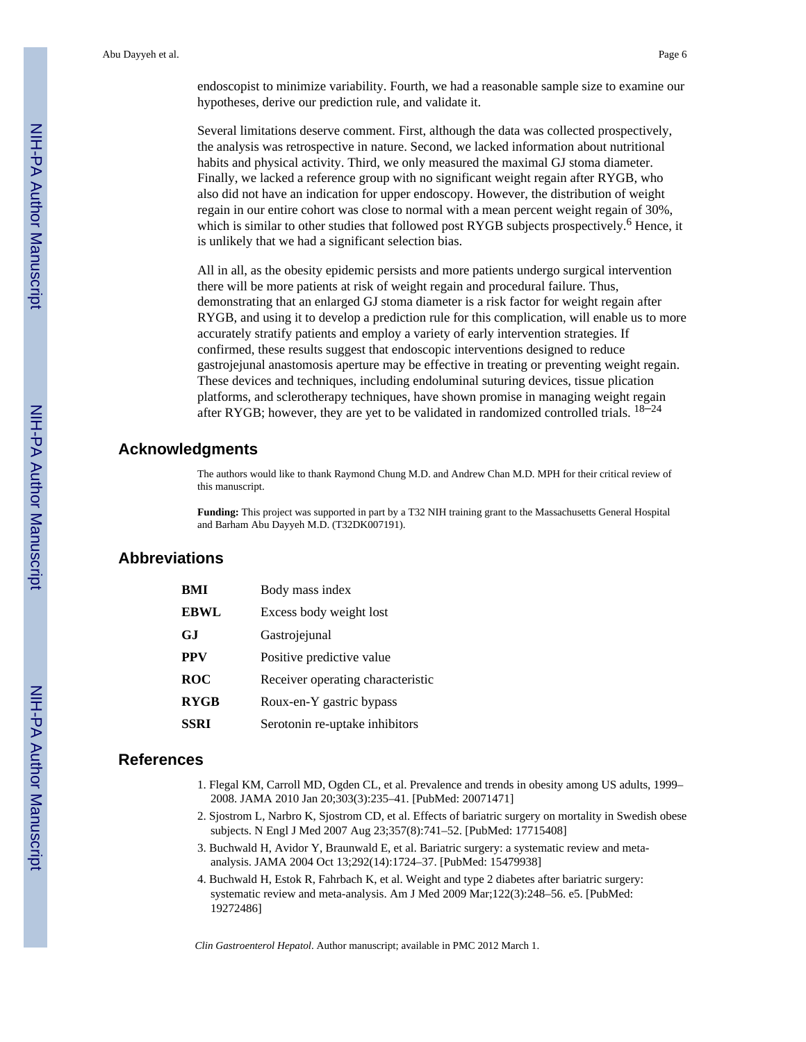endoscopist to minimize variability. Fourth, we had a reasonable sample size to examine our hypotheses, derive our prediction rule, and validate it.

Several limitations deserve comment. First, although the data was collected prospectively, the analysis was retrospective in nature. Second, we lacked information about nutritional habits and physical activity. Third, we only measured the maximal GJ stoma diameter. Finally, we lacked a reference group with no significant weight regain after RYGB, who also did not have an indication for upper endoscopy. However, the distribution of weight regain in our entire cohort was close to normal with a mean percent weight regain of 30%, which is similar to other studies that followed post RYGB subjects prospectively.<sup>6</sup> Hence, it is unlikely that we had a significant selection bias.

All in all, as the obesity epidemic persists and more patients undergo surgical intervention there will be more patients at risk of weight regain and procedural failure. Thus, demonstrating that an enlarged GJ stoma diameter is a risk factor for weight regain after RYGB, and using it to develop a prediction rule for this complication, will enable us to more accurately stratify patients and employ a variety of early intervention strategies. If confirmed, these results suggest that endoscopic interventions designed to reduce gastrojejunal anastomosis aperture may be effective in treating or preventing weight regain. These devices and techniques, including endoluminal suturing devices, tissue plication platforms, and sclerotherapy techniques, have shown promise in managing weight regain after RYGB; however, they are yet to be validated in randomized controlled trials.  $18-24$ 

#### **Acknowledgments**

The authors would like to thank Raymond Chung M.D. and Andrew Chan M.D. MPH for their critical review of this manuscript.

**Funding:** This project was supported in part by a T32 NIH training grant to the Massachusetts General Hospital and Barham Abu Dayyeh M.D. (T32DK007191).

## **Abbreviations**

| BMI         | Body mass index                   |  |
|-------------|-----------------------------------|--|
| <b>EBWL</b> | Excess body weight lost           |  |
| GJ.         | Gastrojejunal                     |  |
| <b>PPV</b>  | Positive predictive value         |  |
| <b>ROC</b>  | Receiver operating characteristic |  |
| <b>RYGB</b> | Roux-en-Y gastric bypass          |  |
| <b>SSRI</b> | Serotonin re-uptake inhibitors    |  |

## **References**

- 1. Flegal KM, Carroll MD, Ogden CL, et al. Prevalence and trends in obesity among US adults, 1999– 2008. JAMA 2010 Jan 20;303(3):235–41. [PubMed: 20071471]
- 2. Sjostrom L, Narbro K, Sjostrom CD, et al. Effects of bariatric surgery on mortality in Swedish obese subjects. N Engl J Med 2007 Aug 23;357(8):741–52. [PubMed: 17715408]
- 3. Buchwald H, Avidor Y, Braunwald E, et al. Bariatric surgery: a systematic review and metaanalysis. JAMA 2004 Oct 13;292(14):1724–37. [PubMed: 15479938]
- 4. Buchwald H, Estok R, Fahrbach K, et al. Weight and type 2 diabetes after bariatric surgery: systematic review and meta-analysis. Am J Med 2009 Mar;122(3):248–56. e5. [PubMed: 19272486]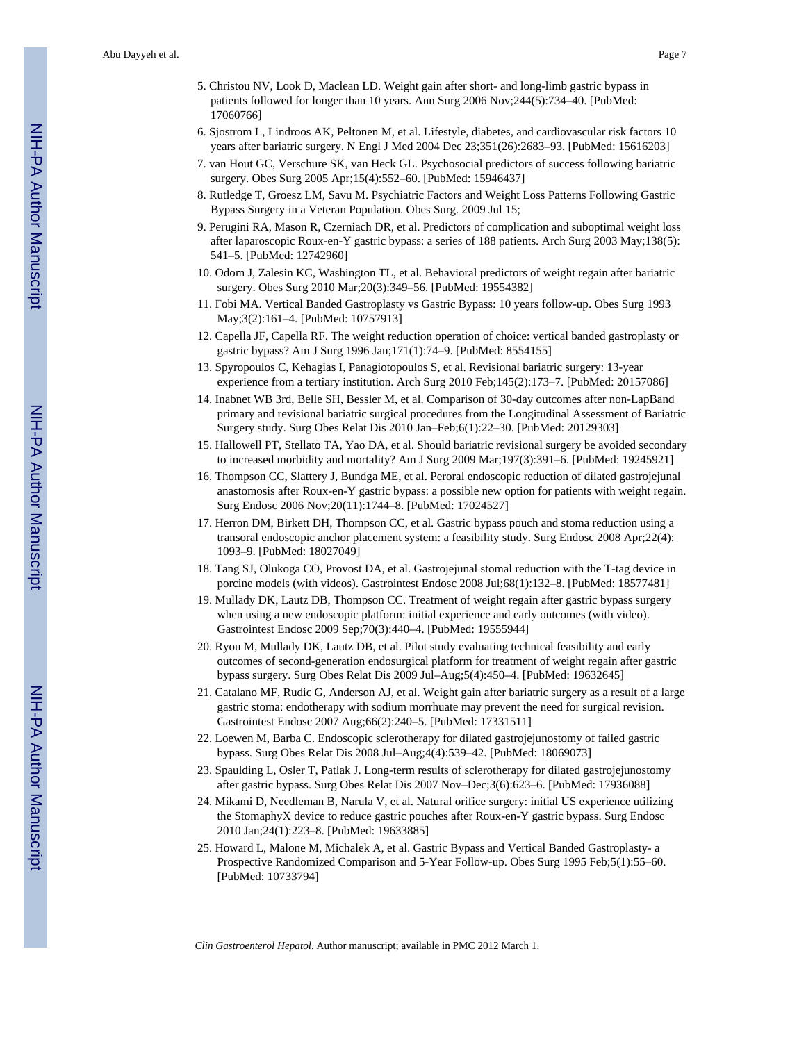- 5. Christou NV, Look D, Maclean LD. Weight gain after short- and long-limb gastric bypass in patients followed for longer than 10 years. Ann Surg 2006 Nov;244(5):734–40. [PubMed: 17060766]
- 6. Sjostrom L, Lindroos AK, Peltonen M, et al. Lifestyle, diabetes, and cardiovascular risk factors 10 years after bariatric surgery. N Engl J Med 2004 Dec 23;351(26):2683–93. [PubMed: 15616203]
- 7. van Hout GC, Verschure SK, van Heck GL. Psychosocial predictors of success following bariatric surgery. Obes Surg 2005 Apr;15(4):552–60. [PubMed: 15946437]
- 8. Rutledge T, Groesz LM, Savu M. Psychiatric Factors and Weight Loss Patterns Following Gastric Bypass Surgery in a Veteran Population. Obes Surg. 2009 Jul 15;
- 9. Perugini RA, Mason R, Czerniach DR, et al. Predictors of complication and suboptimal weight loss after laparoscopic Roux-en-Y gastric bypass: a series of 188 patients. Arch Surg 2003 May;138(5): 541–5. [PubMed: 12742960]
- 10. Odom J, Zalesin KC, Washington TL, et al. Behavioral predictors of weight regain after bariatric surgery. Obes Surg 2010 Mar;20(3):349–56. [PubMed: 19554382]
- 11. Fobi MA. Vertical Banded Gastroplasty vs Gastric Bypass: 10 years follow-up. Obes Surg 1993 May;3(2):161–4. [PubMed: 10757913]
- 12. Capella JF, Capella RF. The weight reduction operation of choice: vertical banded gastroplasty or gastric bypass? Am J Surg 1996 Jan;171(1):74–9. [PubMed: 8554155]
- 13. Spyropoulos C, Kehagias I, Panagiotopoulos S, et al. Revisional bariatric surgery: 13-year experience from a tertiary institution. Arch Surg 2010 Feb;145(2):173–7. [PubMed: 20157086]
- 14. Inabnet WB 3rd, Belle SH, Bessler M, et al. Comparison of 30-day outcomes after non-LapBand primary and revisional bariatric surgical procedures from the Longitudinal Assessment of Bariatric Surgery study. Surg Obes Relat Dis 2010 Jan–Feb;6(1):22–30. [PubMed: 20129303]
- 15. Hallowell PT, Stellato TA, Yao DA, et al. Should bariatric revisional surgery be avoided secondary to increased morbidity and mortality? Am J Surg 2009 Mar;197(3):391–6. [PubMed: 19245921]
- 16. Thompson CC, Slattery J, Bundga ME, et al. Peroral endoscopic reduction of dilated gastrojejunal anastomosis after Roux-en-Y gastric bypass: a possible new option for patients with weight regain. Surg Endosc 2006 Nov;20(11):1744–8. [PubMed: 17024527]
- 17. Herron DM, Birkett DH, Thompson CC, et al. Gastric bypass pouch and stoma reduction using a transoral endoscopic anchor placement system: a feasibility study. Surg Endosc 2008 Apr;22(4): 1093–9. [PubMed: 18027049]
- 18. Tang SJ, Olukoga CO, Provost DA, et al. Gastrojejunal stomal reduction with the T-tag device in porcine models (with videos). Gastrointest Endosc 2008 Jul;68(1):132–8. [PubMed: 18577481]
- 19. Mullady DK, Lautz DB, Thompson CC. Treatment of weight regain after gastric bypass surgery when using a new endoscopic platform: initial experience and early outcomes (with video). Gastrointest Endosc 2009 Sep;70(3):440–4. [PubMed: 19555944]
- 20. Ryou M, Mullady DK, Lautz DB, et al. Pilot study evaluating technical feasibility and early outcomes of second-generation endosurgical platform for treatment of weight regain after gastric bypass surgery. Surg Obes Relat Dis 2009 Jul–Aug;5(4):450–4. [PubMed: 19632645]
- 21. Catalano MF, Rudic G, Anderson AJ, et al. Weight gain after bariatric surgery as a result of a large gastric stoma: endotherapy with sodium morrhuate may prevent the need for surgical revision. Gastrointest Endosc 2007 Aug;66(2):240–5. [PubMed: 17331511]
- 22. Loewen M, Barba C. Endoscopic sclerotherapy for dilated gastrojejunostomy of failed gastric bypass. Surg Obes Relat Dis 2008 Jul–Aug;4(4):539–42. [PubMed: 18069073]
- 23. Spaulding L, Osler T, Patlak J. Long-term results of sclerotherapy for dilated gastrojejunostomy after gastric bypass. Surg Obes Relat Dis 2007 Nov–Dec;3(6):623–6. [PubMed: 17936088]
- 24. Mikami D, Needleman B, Narula V, et al. Natural orifice surgery: initial US experience utilizing the StomaphyX device to reduce gastric pouches after Roux-en-Y gastric bypass. Surg Endosc 2010 Jan;24(1):223–8. [PubMed: 19633885]
- 25. Howard L, Malone M, Michalek A, et al. Gastric Bypass and Vertical Banded Gastroplasty- a Prospective Randomized Comparison and 5-Year Follow-up. Obes Surg 1995 Feb;5(1):55–60. [PubMed: 10733794]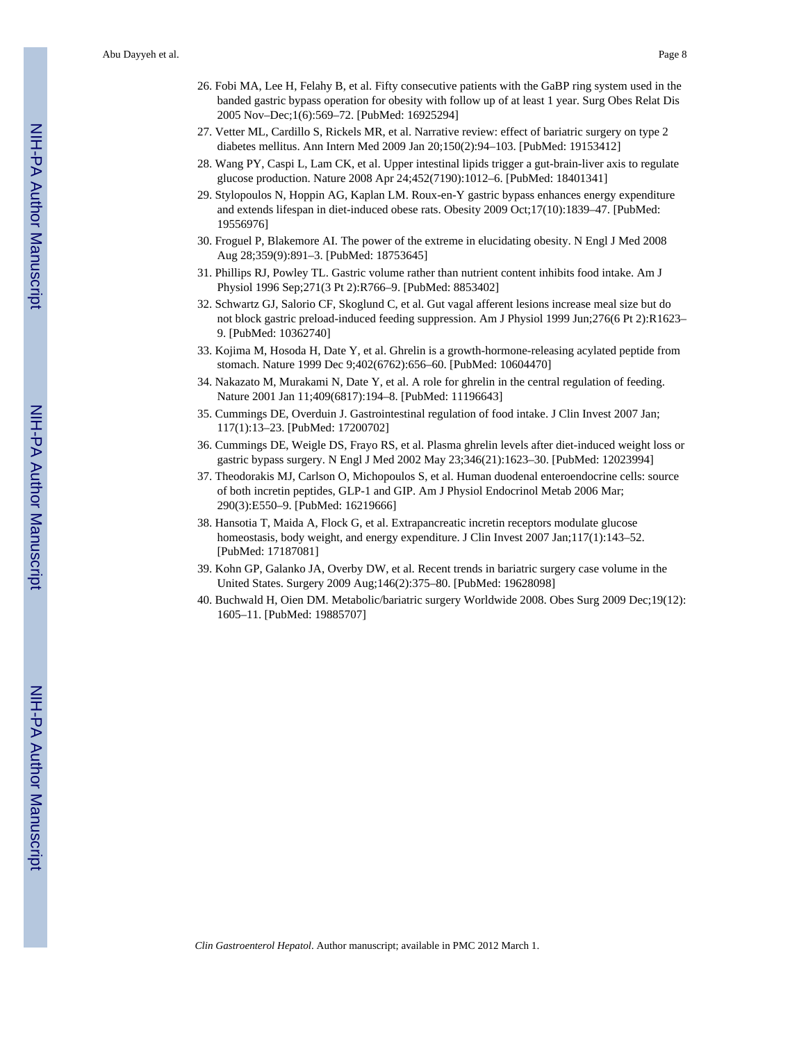- 27. Vetter ML, Cardillo S, Rickels MR, et al. Narrative review: effect of bariatric surgery on type 2 diabetes mellitus. Ann Intern Med 2009 Jan 20;150(2):94–103. [PubMed: 19153412]
- 28. Wang PY, Caspi L, Lam CK, et al. Upper intestinal lipids trigger a gut-brain-liver axis to regulate glucose production. Nature 2008 Apr 24;452(7190):1012–6. [PubMed: 18401341]
- 29. Stylopoulos N, Hoppin AG, Kaplan LM. Roux-en-Y gastric bypass enhances energy expenditure and extends lifespan in diet-induced obese rats. Obesity 2009 Oct;17(10):1839–47. [PubMed: 19556976]
- 30. Froguel P, Blakemore AI. The power of the extreme in elucidating obesity. N Engl J Med 2008 Aug 28;359(9):891–3. [PubMed: 18753645]
- 31. Phillips RJ, Powley TL. Gastric volume rather than nutrient content inhibits food intake. Am J Physiol 1996 Sep;271(3 Pt 2):R766–9. [PubMed: 8853402]
- 32. Schwartz GJ, Salorio CF, Skoglund C, et al. Gut vagal afferent lesions increase meal size but do not block gastric preload-induced feeding suppression. Am J Physiol 1999 Jun;276(6 Pt 2):R1623– 9. [PubMed: 10362740]
- 33. Kojima M, Hosoda H, Date Y, et al. Ghrelin is a growth-hormone-releasing acylated peptide from stomach. Nature 1999 Dec 9;402(6762):656–60. [PubMed: 10604470]
- 34. Nakazato M, Murakami N, Date Y, et al. A role for ghrelin in the central regulation of feeding. Nature 2001 Jan 11;409(6817):194–8. [PubMed: 11196643]
- 35. Cummings DE, Overduin J. Gastrointestinal regulation of food intake. J Clin Invest 2007 Jan; 117(1):13–23. [PubMed: 17200702]
- 36. Cummings DE, Weigle DS, Frayo RS, et al. Plasma ghrelin levels after diet-induced weight loss or gastric bypass surgery. N Engl J Med 2002 May 23;346(21):1623–30. [PubMed: 12023994]
- 37. Theodorakis MJ, Carlson O, Michopoulos S, et al. Human duodenal enteroendocrine cells: source of both incretin peptides, GLP-1 and GIP. Am J Physiol Endocrinol Metab 2006 Mar; 290(3):E550–9. [PubMed: 16219666]
- 38. Hansotia T, Maida A, Flock G, et al. Extrapancreatic incretin receptors modulate glucose homeostasis, body weight, and energy expenditure. J Clin Invest 2007 Jan;117(1):143–52. [PubMed: 17187081]
- 39. Kohn GP, Galanko JA, Overby DW, et al. Recent trends in bariatric surgery case volume in the United States. Surgery 2009 Aug;146(2):375–80. [PubMed: 19628098]
- 40. Buchwald H, Oien DM. Metabolic/bariatric surgery Worldwide 2008. Obes Surg 2009 Dec;19(12): 1605–11. [PubMed: 19885707]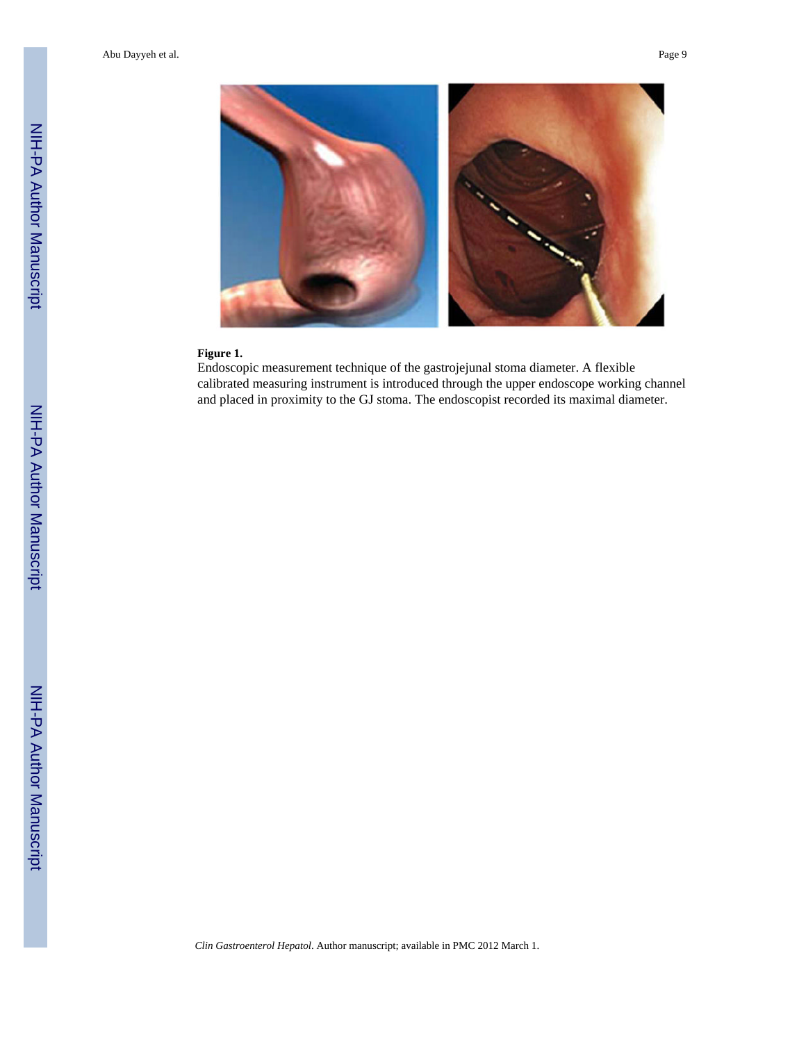

#### **Figure 1.**

Endoscopic measurement technique of the gastrojejunal stoma diameter. A flexible calibrated measuring instrument is introduced through the upper endoscope working channel and placed in proximity to the GJ stoma. The endoscopist recorded its maximal diameter.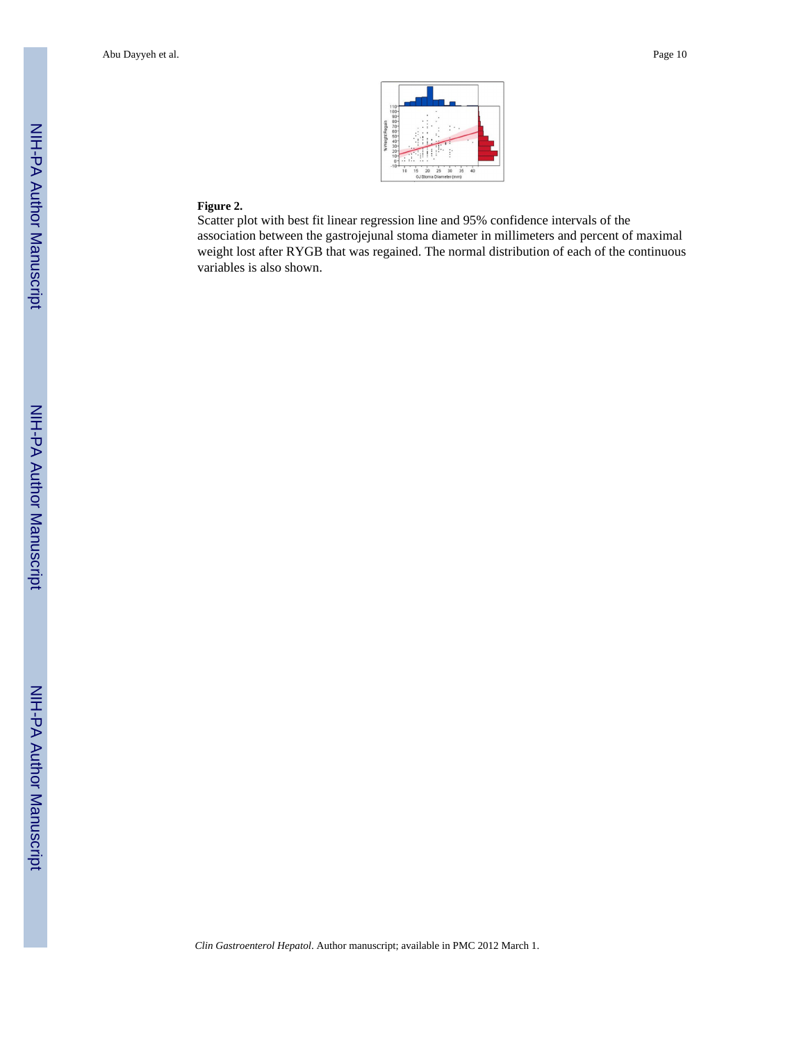

### **Figure 2.**

Scatter plot with best fit linear regression line and 95% confidence intervals of the association between the gastrojejunal stoma diameter in millimeters and percent of maximal weight lost after RYGB that was regained. The normal distribution of each of the continuous variables is also shown.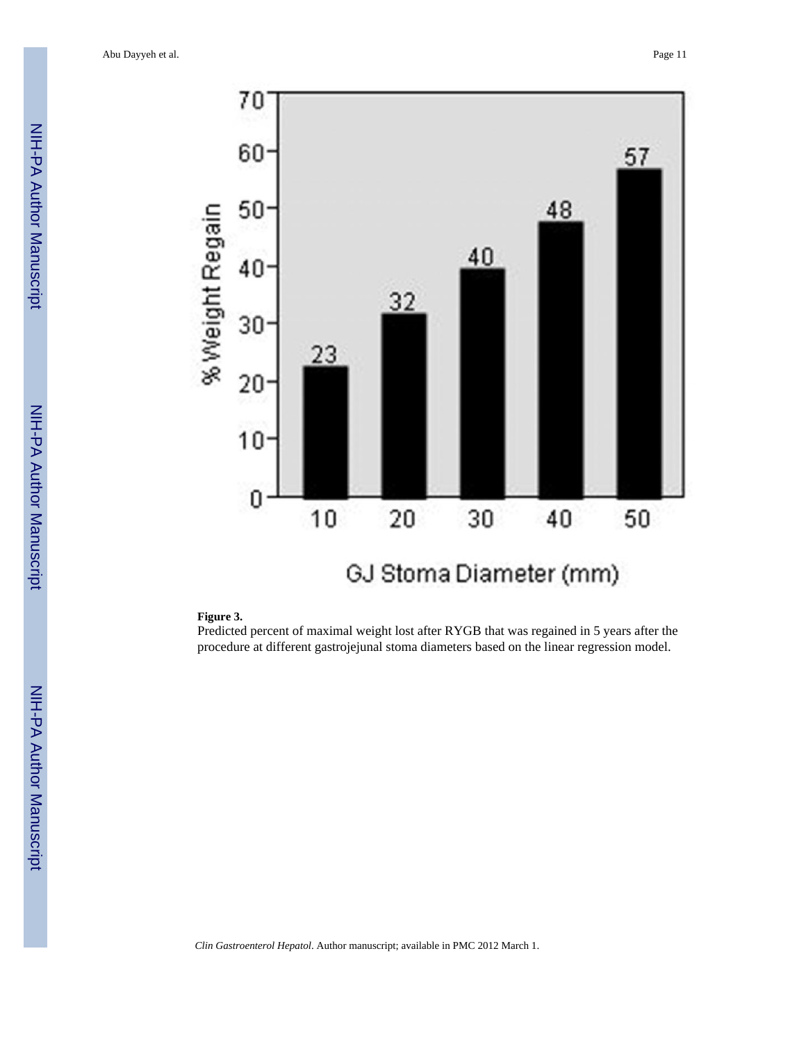Abu Dayyeh et al. Page 11



#### **Figure 3.**

Predicted percent of maximal weight lost after RYGB that was regained in 5 years after the procedure at different gastrojejunal stoma diameters based on the linear regression model.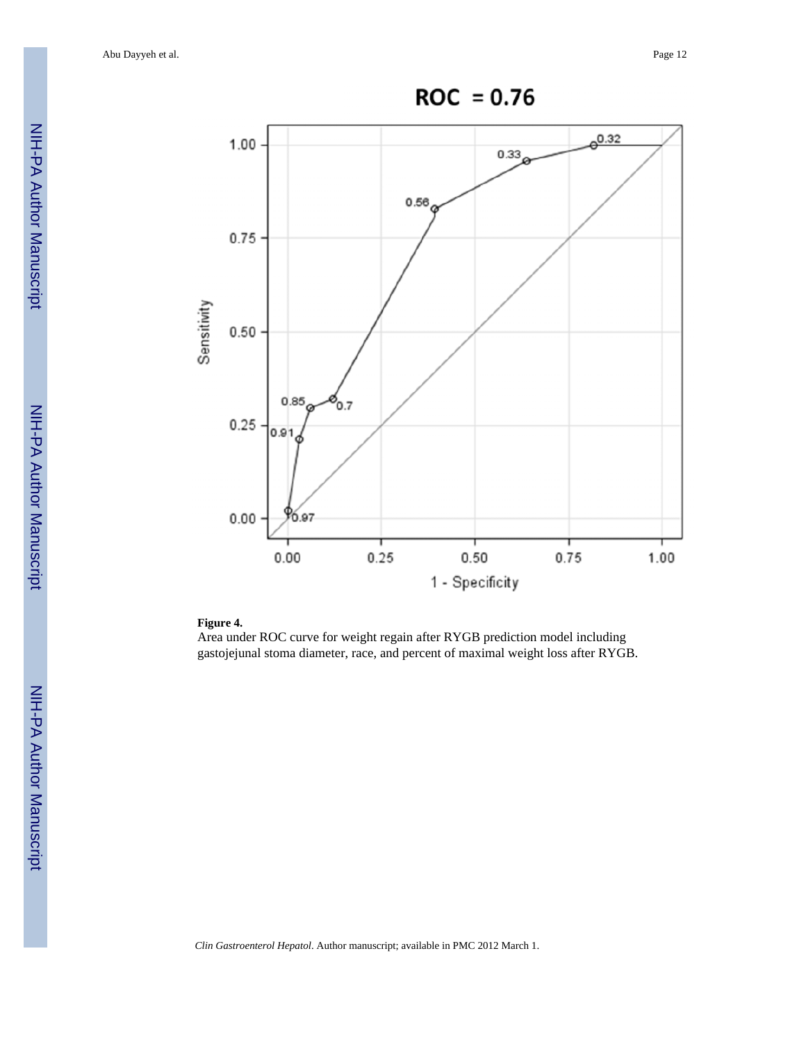Abu Dayyeh et al. Page 12



#### **Figure 4.**

Area under ROC curve for weight regain after RYGB prediction model including gastojejunal stoma diameter, race, and percent of maximal weight loss after RYGB.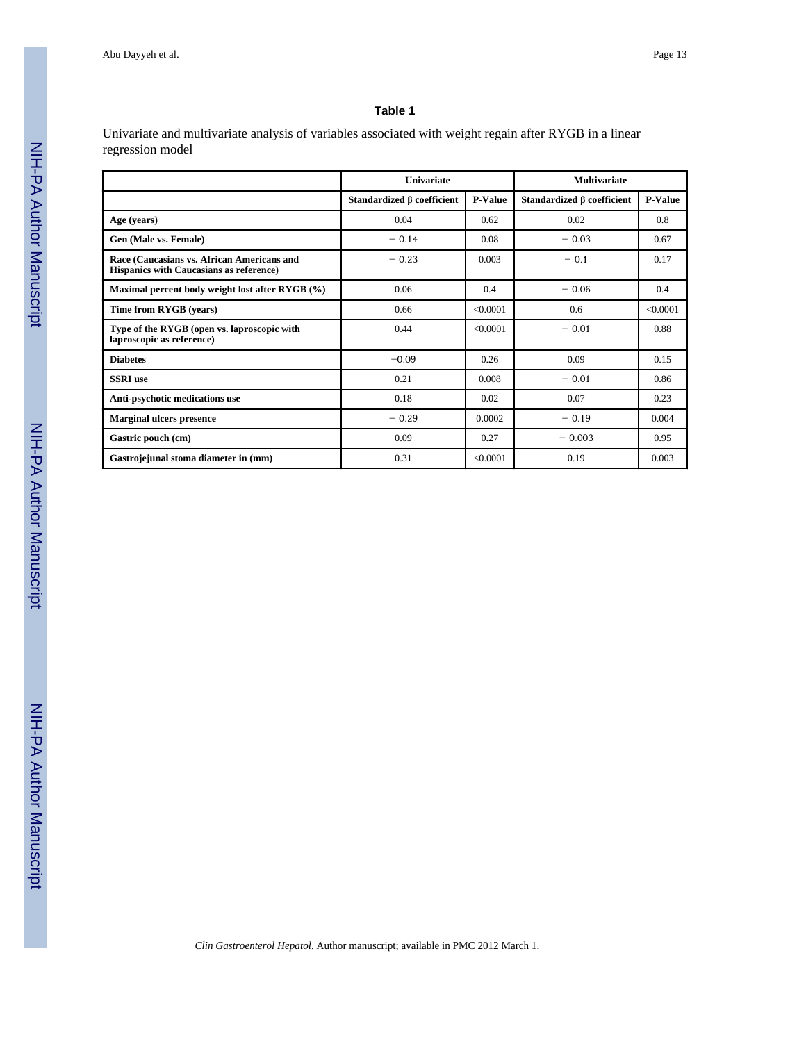#### **Table 1**

Univariate and multivariate analysis of variables associated with weight regain after RYGB in a linear regression model

|                                                                                       | Univariate                       |                | <b>Multivariate</b>              |                |
|---------------------------------------------------------------------------------------|----------------------------------|----------------|----------------------------------|----------------|
|                                                                                       | Standardized $\beta$ coefficient | <b>P-Value</b> | Standardized $\beta$ coefficient | <b>P-Value</b> |
| Age (years)                                                                           | 0.04                             | 0.62           | 0.02                             | 0.8            |
| Gen (Male vs. Female)                                                                 | $-0.14$                          | 0.08           | $-0.03$                          | 0.67           |
| Race (Caucasians vs. African Americans and<br>Hispanics with Caucasians as reference) | $-0.23$<br>0.003                 |                | $-0.1$                           | 0.17           |
| Maximal percent body weight lost after RYGB (%)                                       | 0.06                             | 0.4            | $-0.06$                          | 0.4            |
| Time from RYGB (years)                                                                | 0.66                             | < 0.0001       | 0.6                              | < 0.0001       |
| Type of the RYGB (open vs. laproscopic with<br>laproscopic as reference)              | 0.44                             | < 0.0001       | $-0.01$                          | 0.88           |
| <b>Diabetes</b>                                                                       | $-0.09$                          | 0.26           | 0.09                             | 0.15           |
| <b>SSRI</b> use                                                                       | 0.21                             | 0.008          | $-0.01$                          | 0.86           |
| Anti-psychotic medications use                                                        | 0.18                             | 0.02           | 0.07                             | 0.23           |
| <b>Marginal ulcers presence</b>                                                       | $-0.29$                          | 0.0002         | $-0.19$                          | 0.004          |
| Gastric pouch (cm)                                                                    | 0.09                             | 0.27           | $-0.003$                         | 0.95           |
| Gastrojejunal stoma diameter in (mm)                                                  | 0.31                             | < 0.0001       | 0.19                             | 0.003          |